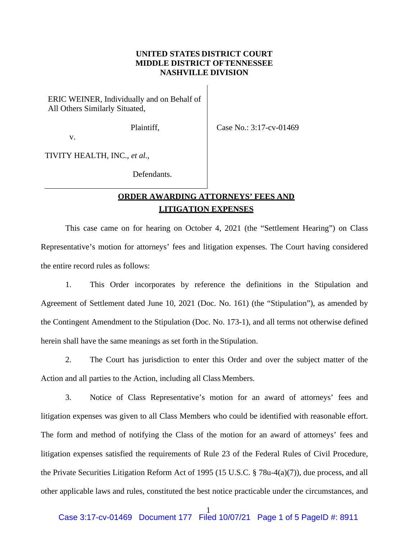## **UNITED STATES DISTRICT COURT MIDDLE DISTRICT OFTENNESSEE NASHVILLE DIVISION**

ERIC WEINER, Individually and on Behalf of All Others Similarly Situated,

Plaintiff,

Case No.: 3:17-cv-01469

v.

TIVITY HEALTH, INC., *et al.*,

Defendants.

## **ORDER AWARDING ATTORNEYS' FEES AND LITIGATION EXPENSES**

This case came on for hearing on October 4, 2021 (the "Settlement Hearing") on Class Representative's motion for attorneys' fees and litigation expenses. The Court having considered the entire record rules as follows:

1. This Order incorporates by reference the definitions in the Stipulation and Agreement of Settlement dated June 10, 2021 (Doc. No. 161) (the "Stipulation"), as amended by the Contingent Amendment to the Stipulation (Doc. No. 173-1), and all terms not otherwise defined herein shall have the same meanings as set forth in the Stipulation.

2. The Court has jurisdiction to enter this Order and over the subject matter of the Action and all parties to the Action, including all Class Members.

3. Notice of Class Representative's motion for an award of attorneys' fees and litigation expenses was given to all Class Members who could be identified with reasonable effort. The form and method of notifying the Class of the motion for an award of attorneys' fees and litigation expenses satisfied the requirements of Rule 23 of the Federal Rules of Civil Procedure, the Private Securities Litigation Reform Act of 1995 (15 U.S.C. § 78u-4(a)(7)), due process, and all other applicable laws and rules, constituted the best notice practicable under the circumstances, and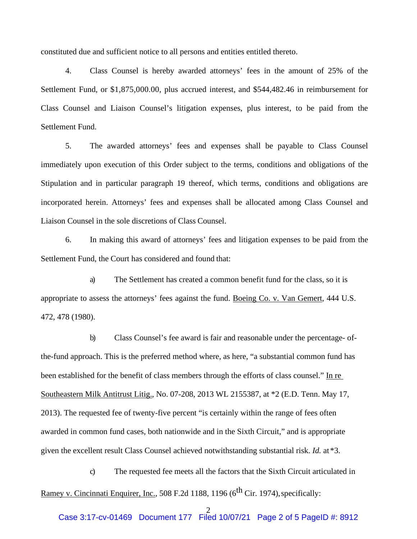constituted due and sufficient notice to all persons and entities entitled thereto.

4. Class Counsel is hereby awarded attorneys' fees in the amount of 25% of the Settlement Fund, or \$1,875,000.00, plus accrued interest, and \$544,482.46 in reimbursement for Class Counsel and Liaison Counsel's litigation expenses, plus interest, to be paid from the Settlement Fund.

5. The awarded attorneys' fees and expenses shall be payable to Class Counsel immediately upon execution of this Order subject to the terms, conditions and obligations of the Stipulation and in particular paragraph 19 thereof, which terms, conditions and obligations are incorporated herein. Attorneys' fees and expenses shall be allocated among Class Counsel and Liaison Counsel in the sole discretions of Class Counsel.

6. In making this award of attorneys' fees and litigation expenses to be paid from the Settlement Fund, the Court has considered and found that:

a) The Settlement has created a common benefit fund for the class, so it is appropriate to assess the attorneys' fees against the fund. Boeing Co. v. Van Gemert, 444 U.S. 472, 478 (1980).

b) Class Counsel's fee award is fair and reasonable under the percentage- ofthe-fund approach. This is the preferred method where, as here, "a substantial common fund has been established for the benefit of class members through the efforts of class counsel." In re Southeastern Milk Antitrust Litig., No. 07-208, 2013 WL 2155387, at \*2 (E.D. Tenn. May 17, 2013). The requested fee of twenty-five percent "is certainly within the range of fees often awarded in common fund cases, both nationwide and in the Sixth Circuit," and is appropriate given the excellent result Class Counsel achieved notwithstanding substantial risk. *Id.* at\*3.

c) The requested fee meets all the factors that the Sixth Circuit articulated in Ramey v. Cincinnati Enquirer, Inc., 508 F.2d 1188, 1196 (6<sup>th</sup> Cir. 1974), specifically: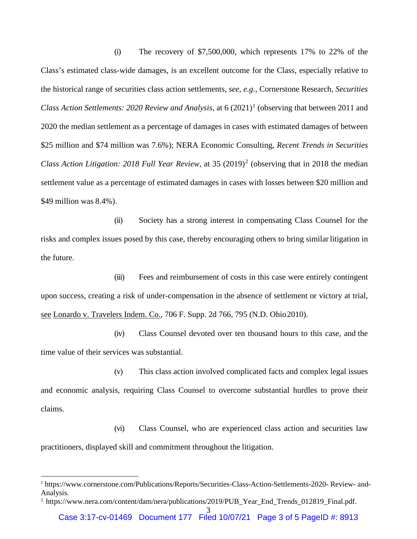(i) The recovery of \$7,500,000, which represents 17% to 22% of the Class's estimated class-wide damages, is an excellent outcome for the Class, especially relative to the historical range of securities class action settlements, *see, e.g.*, Cornerstone Research, *Securities Class Action Settlements: 2020 Review and Analysis*, at 6 (2021)<sup>1</sup> (observing that between 2011 and 2020 the median settlement as a percentage of damages in cases with estimated damages of between \$25 million and \$74 million was 7.6%); NERA Economic Consulting, *Recent Trends in Securities Class Action Litigation: 2018 Full Year Review, at 35 (2019)<sup>2</sup> (observing that in 2018 the median* settlement value as a percentage of estimated damages in cases with losses between \$20 million and \$49 million was 8.4%).

(ii) Society has a strong interest in compensating Class Counsel for the risks and complex issues posed by this case, thereby encouraging others to bring similar litigation in the future.

(iii) Fees and reimbursement of costs in this case were entirely contingent upon success, creating a risk of under-compensation in the absence of settlement or victory at trial, see Lonardo v. Travelers Indem. Co., 706 F. Supp. 2d 766, 795 (N.D. Ohio2010).

(iv) Class Counsel devoted over ten thousand hours to this case, and the time value of their services was substantial.

(v) This class action involved complicated facts and complex legal issues and economic analysis, requiring Class Counsel to overcome substantial hurdles to prove their claims.

(vi) Class Counsel, who are experienced class action and securities law practitioners, displayed skill and commitment throughout the litigation.

<sup>1</sup> https://www.cornerstone.com/Publications/Reports/Securities-Class-Action-Settlements-2020- Review- and-Analysis.

<sup>&</sup>lt;sup>2</sup> https://www.nera.com/content/dam/nera/publications/2019/PUB\_Year\_End\_Trends\_012819\_Final.pdf.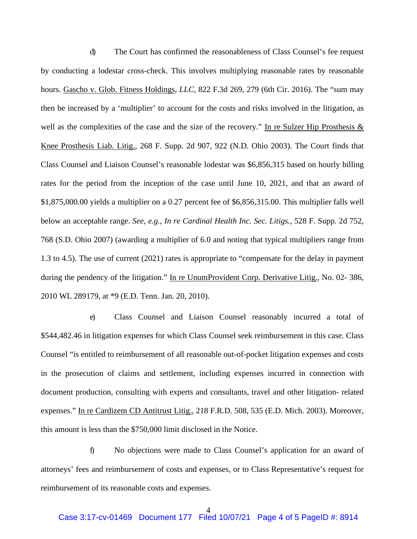d) The Court has confirmed the reasonableness of Class Counsel's fee request by conducting a lodestar cross-check. This involves multiplying reasonable rates by reasonable hours. Gascho v. Glob. Fitness Holdings*, LLC*, 822 F.3d 269, 279 (6th Cir. 2016). The "sum may then be increased by a 'multiplier' to account for the costs and risks involved in the litigation, as well as the complexities of the case and the size of the recovery." In re Sulzer Hip Prosthesis  $\&$ Knee Prosthesis Liab. Litig., 268 F. Supp. 2d 907, 922 (N.D. Ohio 2003). The Court finds that Class Counsel and Liaison Counsel's reasonable lodestar was \$6,856,315 based on hourly billing rates for the period from the inception of the case until June 10, 2021, and that an award of \$1,875,000.00 yields a multiplier on a 0.27 percent fee of \$6,856,315.00. This multiplier falls well below an acceptable range. *See, e.g., In re Cardinal Health Inc. Sec. Litigs.*, 528 F. Supp. 2d 752, 768 (S.D. Ohio 2007) (awarding a multiplier of 6.0 and noting that typical multipliers range from 1.3 to 4.5). The use of current (2021) rates is appropriate to "compensate for the delay in payment during the pendency of the litigation." In re UnumProvident Corp. Derivative Litig., No. 02- 386, 2010 WL 289179, at \*9 (E.D. Tenn. Jan. 20, 2010).

e) Class Counsel and Liaison Counsel reasonably incurred a total of \$544,482.46 in litigation expenses for which Class Counsel seek reimbursement in this case. Class Counsel "is entitled to reimbursement of all reasonable out-of-pocket litigation expenses and costs in the prosecution of claims and settlement, including expenses incurred in connection with document production, consulting with experts and consultants, travel and other litigation- related expenses." In re Cardizem CD Antitrust Litig., 218 F.R.D. 508, 535 (E.D. Mich. 2003). Moreover, this amount is less than the \$750,000 limit disclosed in the Notice.

f) No objections were made to Class Counsel's application for an award of attorneys' fees and reimbursement of costs and expenses, or to Class Representative's request for reimbursement of its reasonable costs and expenses.